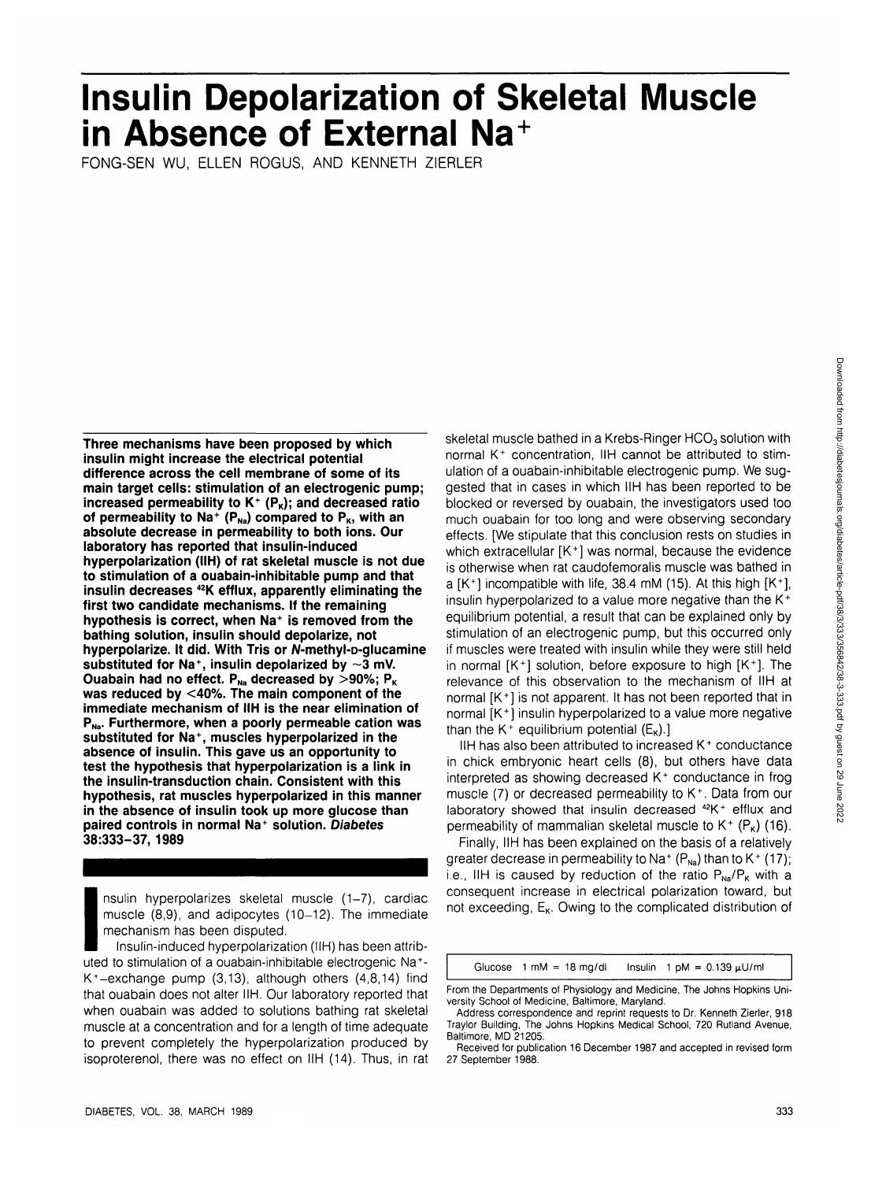# **Insulin Depolarization of Skeletal Muscle in Absence of External Na<sup>+</sup>**

FONG-SEN WU, ELLEN ROGUS, AND KENNETH ZIERLER

**Three mechanisms have been proposed by which insulin might increase the electrical potential difference across the cell membrane of some of its main target cells: stimulation of an electrogenic pump;** increased permeability to K<sup>+</sup> (P<sub>K</sub>); and decreased ratio of permeability to Na<sup>+</sup> (P<sub>Na</sub>) compared to P<sub>K</sub>, with an **absolute decrease in permeability to both ions. Our laboratory has reported that insulin-induced hyperpolarization (IIH) of rat skeletal muscle is not due to stimulation of a ouabain-inhibitable pump and that insulin decreases 42K efflux, apparently eliminating the first two candidate mechanisms. If the remaining hypothesis is correct, when Na<sup>+</sup> is removed from the bathing solution, insulin should depolarize, not** hyperpolarize. It did. With Tris or N-methyl-p-glucamine **substituted for Na<sup>+</sup> , insulin depolarized by ~3 mV.** Ouabain had no effect.  $P_{Na}$  decreased by  $>$ 90%;  $P_{K}$ **was reduced by <40%. The main component of the immediate mechanism of IIH is the near elimination of** P<sub>Na</sub>. Furthermore, when a poorly permeable cation was **substituted for Na<sup>+</sup> , muscles hyperpolarized in the absence of insulin. This gave us an opportunity to test the hypothesis that hyperpolarization is a link in the insulin-transduction chain. Consistent with this hypothesis, rat muscles hyperpolarized in this manner in the absence of insulin took up more glucose than paired controls in normal Na<sup>+</sup> solution. Diabetes 38:333-37, 1989**

nsulin hyperpolarizes skeletal muscle (1-7), cardiac muscle (8,9), and adipocytes (10-12). The immediate mechanism has been disputed.

 $\frac{1}{10}$ <br>
In  $\frac{1}{10}$ <br>
In  $\frac{1}{10}$ <br>
In the little Insulin-induced hyperpolarization (IIH) has been attributed to stimulation of a ouabain-inhibitable electrogenic Na<sup>+</sup> - K<sup>+</sup>-exchange pump (3,13), although others  $(4,8,14)$  find that ouabain does not alter IIH. Our laboratory reported that when ouabain was added to solutions bathing rat skeletal muscle at a concentration and for a length of time adequate to prevent completely the hyperpolarization produced by isoproterenol, there was no effect on IIH (14). Thus, in rat skeletal muscle bathed in a Krebs-Ringer HCO<sub>3</sub> solution with normal K<sup>+</sup> concentration, IIH cannot be attributed to stimulation of a ouabain-inhibitable electrogenic pump. We suggested that in cases in which IIH has been reported to be blocked or reversed by ouabain, the investigators used too much ouabain for too long and were observing secondary effects. [We stipulate that this conclusion rests on studies in which extracellular [K<sup>+</sup>] was normal, because the evidence is otherwise when rat caudofemoralis muscle was bathed in a  $[K^+]$  incompatible with life, 38.4 mM (15). At this high  $[K^+]$ , insulin hyperpolarized to a value more negative than the  $K^+$ equilibrium potential, a result that can be explained only by stimulation of an electrogenic pump, but this occurred only if muscles were treated with insulin while they were still held in normal [K<sup>+</sup> ] solution, before exposure to high [K<sup>+</sup> ]. The relevance of this observation to the mechanism of IIH at normal [K<sup>+</sup> ] is not apparent. It has not been reported that in normal [K<sup>+</sup> ] insulin hyperpolarized to a value more negative than the K<sup>+</sup> equilibrium potential  $(E_{\kappa})$ .]

IIH has also been attributed to increased K<sup>+</sup> conductance in chick embryonic heart cells (8), but others have data interpreted as showing decreased K<sup>+</sup> conductance in frog muscle (7) or decreased permeability to K<sup>+</sup>. Data from our laboratory showed that insulin decreased <sup>42</sup>K<sup>+</sup> efflux and permeability of mammalian skeletal muscle to  $K^+$  (P<sub>K</sub>) (16).

Finally, IIH has been explained on the basis of a relatively greater decrease in permeability to Na<sup>+</sup> (P<sub>Na</sub>) than to K<sup>+</sup> (17); i.e., IIH is caused by reduction of the ratio  $P_{Na}/P_{K}$  with a consequent increase in electrical polarization toward, but not exceeding,  $E_{K}$ . Owing to the complicated distribution of

Glucose  $1 \text{ mM} = 18 \text{ mg/dl}$  Insulin  $1 \text{ pM} = 0.139 \text{ µU/ml}$ 

From the Departments of Physiology and Medicine, The Johns Hopkins University School of Medicine, Baltimore, Maryland.

Address correspondence and reprint requests to Dr. Kenneth Zierler, 918 Traylor Building, The Johns Hopkins Medical School, 720 Rutland Avenue, Baltimore, MD 21205.

Received for publication 16 December 1987 and accepted in revised form 27 September 1988.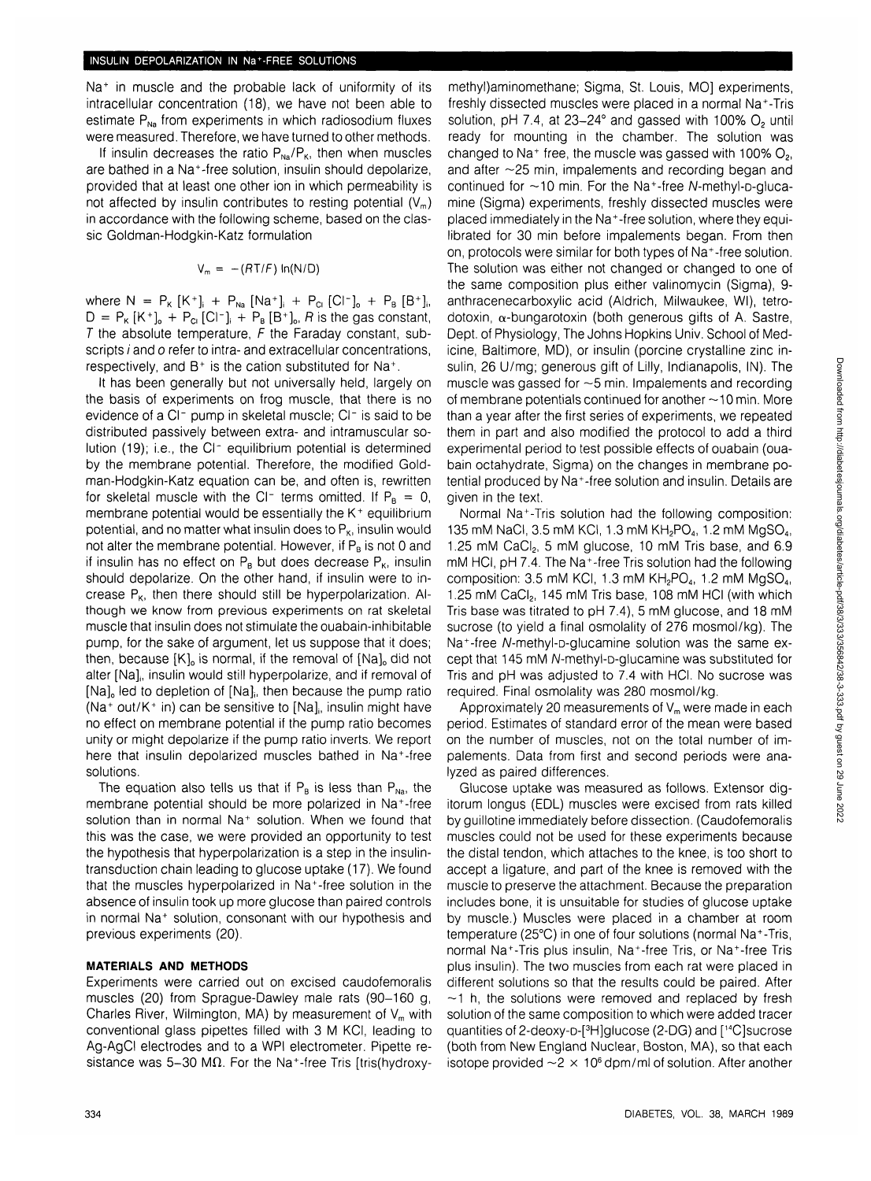Na<sup>+</sup> in muscle and the probable lack of uniformity of its intracellular concentration (18), we have not been able to estimate  $P_{N_a}$  from experiments in which radiosodium fluxes were measured. Therefore, we have turned to other methods.

If insulin decreases the ratio  $P_{N_A}/P_{K}$ , then when muscles are bathed in a Na<sup>+</sup> -free solution, insulin should depolarize, provided that at least one other ion in which permeability is not affected by insulin contributes to resting potential  $(V_m)$ in accordance with the following scheme, based on the classic Goldman-Hodgkin-Katz formulation

$$
V_m = -(RT/F) \ln(N/D)
$$

where  $N = P_{K} [K^{+}]_{i} + P_{Na} [Na^{+}]_{i} + P_{C} [Cl^{-}]_{o} + P_{B} [B^{+}]_{i}$  $D = P_{K} [K^{+}]_{o} + P_{C} [C^{-}]_{i} + P_{B} [B^{+}]_{o}, R$  is the gas constant, T the absolute temperature,  $F$  the Faraday constant, subscripts *i* and *o* refer to intra- and extracellular concentrations, respectively, and  $B^+$  is the cation substituted for Na<sup>+</sup>.

It has been generally but not universally held, largely on the basis of experiments on frog muscle, that there is no evidence of a Cl<sup>-</sup> pump in skeletal muscle; Cl<sup>-</sup> is said to be distributed passively between extra- and intramuscular solution (19); i.e., the CI- equilibrium potential is determined by the membrane potential. Therefore, the modified Goldman-Hodgkin-Katz equation can be, and often is, rewritten for skeletal muscle with the Cl<sup>-</sup> terms omitted. If  $P_B = 0$ , membrane potential would be essentially the  $K^+$  equilibrium potential, and no matter what insulin does to  $P_{K}$ , insulin would not alter the membrane potential. However, if  $P_B$  is not 0 and if insulin has no effect on  $P_B$  but does decrease  $P_K$ , insulin should depolarize. On the other hand, if insulin were to increase  $P_{K}$ , then there should still be hyperpolarization. Although we know from previous experiments on rat skeletal muscle that insulin does not stimulate the ouabain-inhibitable pump, for the sake of argument, let us suppose that it does; then, because [K], is normal, if the removal of [Na], did not alter [Na], insulin would still hyperpolarize, and if removal of  $[Na]_0$  led to depletion of  $[Na]_0$  then because the pump ratio .<br>(Na<sup>+</sup> out/K<sup>+</sup> in) can be sensitive to [Na], insulin might have no effect on membrane potential if the pump ratio becomes unity or might depolarize if the pump ratio inverts. We report here that insulin depolarized muscles bathed in Na+-free solutions.

The equation also tells us that if  $P_B$  is less than  $P_{Na}$ , the membrane potential should be more polarized in Na<sup>+</sup> -free solution than in normal Na<sup>+</sup> solution. When we found that this was the case, we were provided an opportunity to test the hypothesis that hyperpolarization is a step in the insulintransduction chain leading to glucose uptake (17). We found that the muscles hyperpolarized in Na<sup>+</sup>-free solution in the absence of insulin took up more glucose than paired controls in normal Na<sup>+</sup> solution, consonant with our hypothesis and previous experiments (20).

### **MATERIALS AND METHODS**

Experiments were carried out on excised caudofemoralis muscles (20) from Sprague-Dawley male rats (90-160 g, Charles River, Wilmington, MA) by measurement of  $V_m$  with conventional glass pipettes filled with 3 M KCI, leading to Ag-AgCI electrodes and to a WPI electrometer. Pipette resistance was 5-30 M $\Omega$ . For the Na<sup>+</sup>-free Tris [tris(hydroxy-

methyl)aminomethane; Sigma, St. Louis, MO] experiments, freshly dissected muscles were placed in a normal Na+-Tris solution,  $pH$  7.4, at  $23-24^\circ$  and gassed with 100%  $O_2$  until ready for mounting in the chamber. The solution was changed to Na<sup>+</sup> free, the muscle was gassed with 100%  $O<sub>2</sub>$ and after ~25 min, impalements and recording began and continued for ~10 min. For the Na<sup>+</sup>-free N-methyl-p-alucamine (Sigma) experiments, freshly dissected muscles were placed immediately in the Na<sup>+</sup> -free solution, where they equilibrated for 30 min before impalements began. From then on, protocols were similar for both types of Na<sup>+</sup> -free solution. The solution was either not changed or changed to one of the same composition plus either valinomycin (Sigma), 9 anthracenecarboxylic acid (Aldrich, Milwaukee, Wl), tetrodotoxin,  $\alpha$ -bungarotoxin (both generous gifts of A. Sastre, Dept. of Physiology, The Johns Hopkins Univ. School of Medicine, Baltimore, MD), or insulin (porcine crystalline zinc insulin, 26 U/mg; generous gift of Lilly, Indianapolis, IN). The muscle was gassed for  $\sim$  5 min. Impalements and recording of membrane potentials continued for another  $\sim$ 10 min. More than a year after the first series of experiments, we repeated them in part and also modified the protocol to add a third experimental period to test possible effects of ouabain (ouabain octahydrate, Sigma) on the changes in membrane potential produced by Na<sup>+</sup> -free solution and insulin. Details are given in the text.

Normal Na<sup>+</sup> -Tris solution had the following composition: 135 mM NaCl, 3.5 mM KCl, 1.3 mM KH<sub>2</sub>PO<sub>4</sub>, 1.2 mM MgSO<sub>4</sub>, 1.25 mM CaCl<sub>2</sub>, 5 mM glucose, 10 mM Tris base, and 6.9 mM HCI, pH 7.4. The Na<sup>+</sup>-free Tris solution had the following composition: 3.5 mM KCI, 1.3 mM  $KH<sub>2</sub>PO<sub>4</sub>$ , 1.2 mM  $MgSO<sub>4</sub>$ , 1.25 mM CaCI<sub>2</sub>, 145 mM Tris base, 108 mM HCI (with which Tris base was titrated to pH 7.4), 5 mM glucose, and 18 mM sucrose (to yield a final osmolality of 276 mosmol/kg). The Na<sup>+</sup>-free N-methyl-p-glucamine solution was the same except that 145 mM A/-methyl-D-glucamine was substituted for Tris and pH was adjusted to 7.4 with HCI. No sucrose was required. Final osmolality was 280 mosmol/kg.

Approximately 20 measurements of  $V_m$  were made in each period. Estimates of standard error of the mean were based on the number of muscles, not on the total number of impalements. Data from first and second periods were analyzed as paired differences.

Glucose uptake was measured as follows. Extensor digitorum longus (EDL) muscles were excised from rats killed by guillotine immediately before dissection. (Caudofemoralis muscles could not be used for these experiments because the distal tendon, which attaches to the knee, is too short to accept a ligature, and part of the knee is removed with the muscle to preserve the attachment. Because the preparation includes bone, it is unsuitable for studies of glucose uptake by muscle.) Muscles were placed in a chamber at room temperature (25°C) in one of four solutions (normal Na<sup>+</sup> -Tris, normal Na<sup>+</sup>-Tris plus insulin, Na<sup>+</sup>-free Tris, or Na<sup>+</sup>-free Tris plus insulin). The two muscles from each rat were placed in different solutions so that the results could be paired. After  $\sim$ 1 h, the solutions were removed and replaced by fresh solution of the same composition to which were added tracer quantities of 2-deoxy-p-[<sup>3</sup>H]glucose (2-DG) and [<sup>14</sup>C]sucrose (both from New England Nuclear, Boston, MA), so that each isotope provided  $\sim$  2  $\times$  10<sup>6</sup> dpm/ml of solution. After another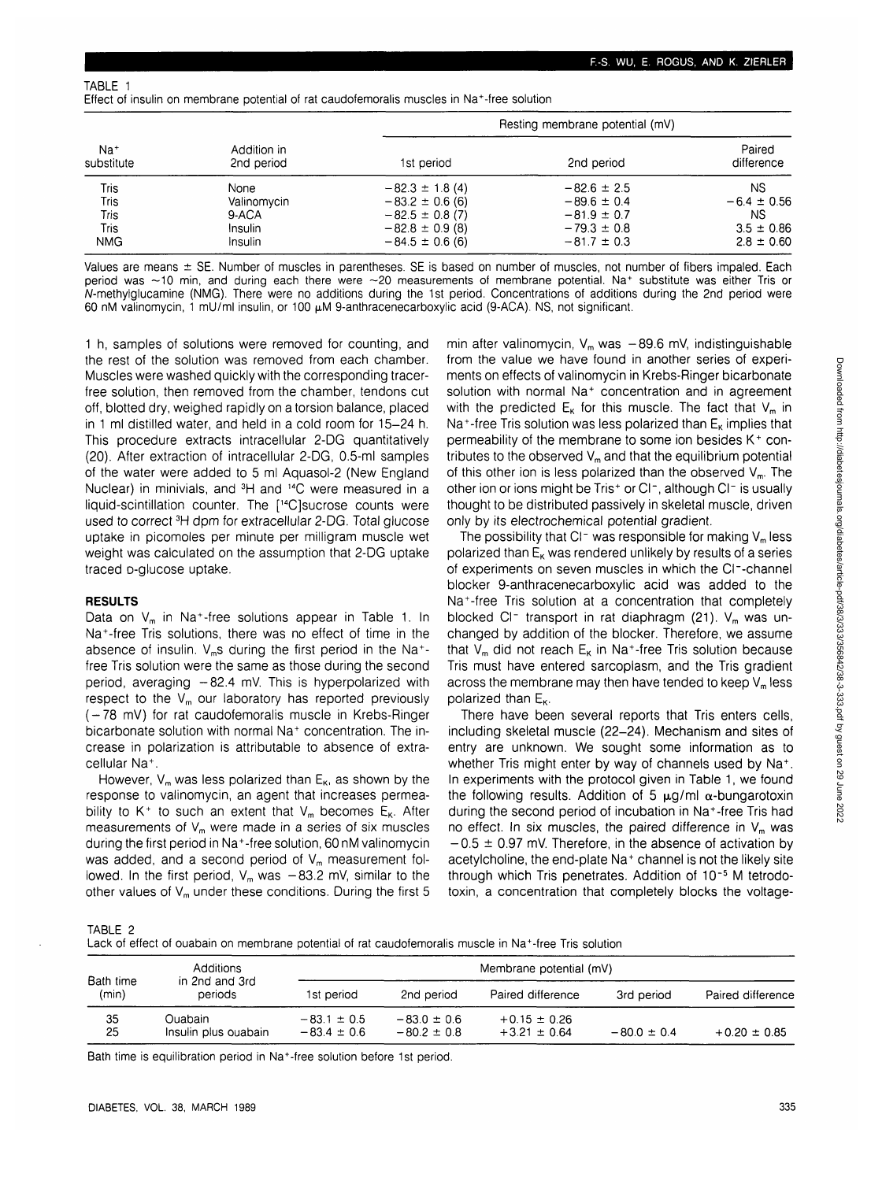TABLE 1

Effect of insulin on membrane potential of rat caudofemoralis muscles in Na<sup>+</sup> -free solution

| $Na+$<br>substitute | Addition in<br>2nd period | Resting membrane potential (mV) |                 |                      |  |
|---------------------|---------------------------|---------------------------------|-----------------|----------------------|--|
|                     |                           | 1st period                      | 2nd period      | Paired<br>difference |  |
| Tris                | None                      | $-82.3 \pm 1.8(4)$              | $-82.6 \pm 2.5$ | NS.                  |  |
| Tris                | Valinomycin               | $-83.2 \pm 0.6$ (6)             | $-89.6 \pm 0.4$ | $-6.4 \pm 0.56$      |  |
| Tris                | 9-ACA                     | $-82.5 \pm 0.8$ (7)             | $-81.9 \pm 0.7$ | NS.                  |  |
| Tris                | Insulin                   | $-82.8 \pm 0.9$ (8)             | $-79.3 \pm 0.8$ | $3.5 \pm 0.86$       |  |
| <b>NMG</b>          | Insulin                   | $-84.5 \pm 0.6$ (6)             | $-81.7 \pm 0.3$ | $2.8 \pm 0.60$       |  |

Values are means  $\pm$  SE. Number of muscles in parentheses. SE is based on number of muscles, not number of fibers impaled. Each period was ~10 min, and during each there were ~20 measurements of membrane potential. Na+ substitute was either Tris or A/-methylglucamine (NMG). There were no additions during the 1st period. Concentrations of additions during the 2nd period were 60 nM valinomycin, 1 mU/ml insulin, or 100  $\mu$ M 9-anthracenecarboxylic acid (9-ACA). NS, not significant.

1 h, samples of solutions were removed for counting, and the rest of the solution was removed from each chamber. Muscles were washed quickly with the corresponding tracerfree solution, then removed from the chamber, tendons cut off, blotted dry, weighed rapidly on a torsion balance, placed in 1 ml distilled water, and held in a cold room for 15-24 h. This procedure extracts intracellular 2-DG quantitatively (20). After extraction of intracellular 2-DG, 0.5-ml samples of the water were added to 5 ml Aquasol-2 (New England Nuclear) in minivials, and 3H and 14C were measured in a liquid-scintillation counter. The [14C]sucrose counts were used to correct <sup>3</sup>H dpm for extracellular 2-DG. Total glucose uptake in picomoles per minute per milligram muscle wet weight was calculated on the assumption that 2-DG uptake traced D-glucose uptake.

#### **RESULTS**

Data on  $\mathsf{V}_\mathsf{m}$  in Na<sup>+</sup>-free solutions appear in Table 1. In Na<sup>+</sup> -free Tris solutions, there was no effect of time in the absence of insulin.  $V_m$ s during the first period in the Na<sup>+</sup>free Tris solution were the same as those during the second period, averaging  $-82.4$  mV. This is hyperpolarized with respect to the  $V_m$  our laboratory has reported previously (-78 mV) for rat caudofemoralis muscle in Krebs-Ringer bicarbonate solution with normal Na<sup>+</sup> concentration. The increase in polarization is attributable to absence of extracellular Na<sup>+</sup> .

However,  $V_m$  was less polarized than  $E_K$ , as shown by the response to valinomycin, an agent that increases permeability to K<sup>+</sup> to such an extent that  $V_m$  becomes  $E_K$ . After measurements of  $V_m$  were made in a series of six muscles during the first period in Na<sup>+</sup> -free solution, 60 nM valinomycin was added, and a second period of  $V_m$  measurement followed. In the first period,  $V_m$  was  $-83.2$  mV, similar to the other values of  $V_m$  under these conditions. During the first 5 min after valinomycin,  $V_m$  was  $-89.6$  mV, indistinguishable from the value we have found in another series of experiments on effects of valinomycin in Krebs-Ringer bicarbonate solution with normal Na<sup>+</sup> concentration and in agreement with the predicted  $E_K$  for this muscle. The fact that  $V_m$  in Na<sup>+</sup>-free Tris solution was less polarized than  $\mathsf{E}_\kappa$  implies that permeability of the membrane to some ion besides K<sup>+</sup> contributes to the observed  $V_m$  and that the equilibrium potential of this other ion is less polarized than the observed  $V_m$ . The other ion or ions might be Tris<sup>+</sup> or Cl<sup>-</sup>, although Cl<sup>-</sup> is usually thought to be distributed passively in skeletal muscle, driven only by its electrochemical potential gradient.

The possibility that  $Cl^-$  was responsible for making  $V_m$  less polarized than  $E_{K}$  was rendered unlikely by results of a series of experiments on seven muscles in which the Cl~-channel blocker 9-anthracenecarboxylic acid was added to the Na<sup>+</sup> -free Tris solution at a concentration that completely blocked Cl<sup>-</sup> transport in rat diaphragm (21).  $V_m$  was unchanged by addition of the blocker. Therefore, we assume that V<sub>m</sub> did not reach  $E_{\kappa}$  in Na<sup>+</sup>-free Tris solution because Tris must have entered sarcoplasm, and the Tris gradient across the membrane may then have tended to keep  $V_m$  less polarized than  $E_{\kappa}$ .

There have been several reports that Tris enters cells, including skeletal muscle (22-24). Mechanism and sites of entry are unknown. We sought some information as to whether Tris might enter by way of channels used by Na+. In experiments with the protocol given in Table 1, we found the following results. Addition of 5  $\mu$ g/ml  $\alpha$ -bungarotoxin during the second period of incubation in Na<sup>+</sup> -free Tris had no effect. In six muscles, the paired difference in  $V_m$  was  $-0.5 \pm 0.97$  mV. Therefore, in the absence of activation by acetylcholine, the end-plate Na<sup>+</sup> channel is not the likely site through which Tris penetrates. Addition of 10~5 M tetrodotoxin, a concentration that completely blocks the voltage-

TABLE 2

| Lack of effect of ouabain on membrane potential of rat caudofemoralis muscle in Na <sup>+</sup> -free Tris solution |
|---------------------------------------------------------------------------------------------------------------------|
|---------------------------------------------------------------------------------------------------------------------|

|                    | Additions                        | Membrane potential (mV)            |                                    |                                      |                 |                   |
|--------------------|----------------------------------|------------------------------------|------------------------------------|--------------------------------------|-----------------|-------------------|
| Bath time<br>(min) | in 2nd and 3rd<br>periods        | 1st period                         | 2nd period                         | Paired difference                    | 3rd period      | Paired difference |
| 35<br>25           | Ouabain.<br>Insulin plus ouabain | $-83.1 \pm 0.5$<br>$-83.4 \pm 0.6$ | $-83.0 \pm 0.6$<br>$-80.2 \pm 0.8$ | $+0.15 \pm 0.26$<br>$+3.21 \pm 0.64$ | $-80.0 \pm 0.4$ | $+0.20 \pm 0.85$  |

Bath time is equilibration period in Na<sup>+</sup>-free solution before 1st period.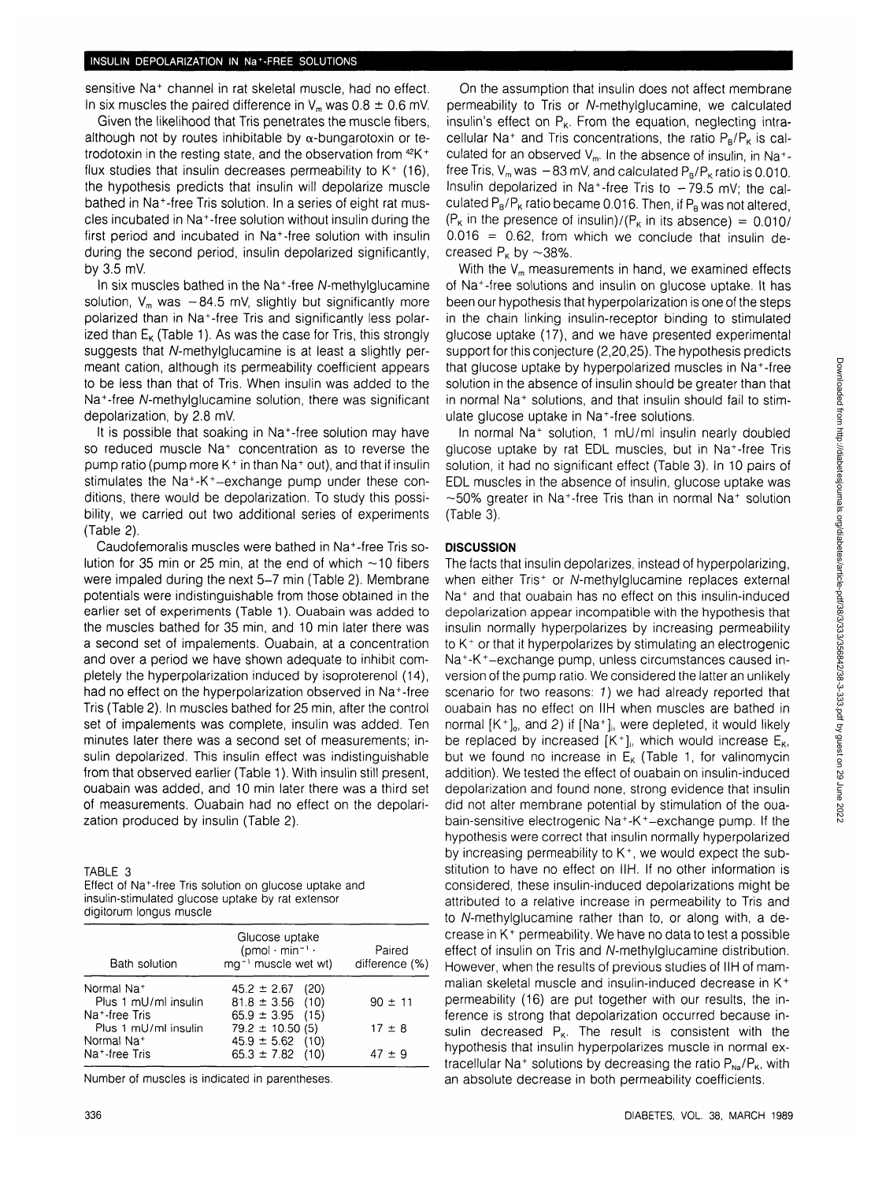sensitive Na<sup>+</sup> channel in rat skeletal muscle, had no effect. In six muscles the paired difference in  $V_m$  was  $0.8 \pm 0.6$  mV.

Given the likelihood that Tris penetrates the muscle fibers, although not by routes inhibitable by  $\alpha$ -bungarotoxin or tetrodotoxin in the resting state, and the observation from 42K+ flux studies that insulin decreases permeability to  $K^+$  (16), the hypothesis predicts that insulin will depolarize muscle bathed in Na<sup>+</sup> -free Tris solution. In a series of eight rat muscles incubated in Na<sup>+</sup> -free solution without insulin during the first period and incubated in Na<sup>+</sup>-free solution with insulin during the second period, insulin depolarized significantly, by 3.5 mV.

In six muscles bathed in the Na<sup>+</sup>-free N-methylglucamine solution,  $V_m$  was  $-84.5$  mV, slightly but significantly more polarized than in Na<sup>+</sup> -free Tris and significantly less polarized than  $E_{\kappa}$  (Table 1). As was the case for Tris, this strongly suggests that A/-methylglucamine is at least a slightly permeant cation, although its permeability coefficient appears to be less than that of Tris. When insulin was added to the Na<sup>+</sup>-free N-methylglucamine solution, there was significant depolarization, by 2.8 mV.

It is possible that soaking in Na<sup>+</sup>-free solution may have so reduced muscle Na<sup>+</sup> concentration as to reverse the pump ratio (pump more K<sup>+</sup> in than Na<sup>+</sup> out), and that if insulin stimulates the Na<sup>+</sup>-K<sup>+</sup>-exchange pump under these conditions, there would be depolarization. To study this possibility, we carried out two additional series of experiments (Table 2).

Caudofemoralis muscles were bathed in Na<sup>+</sup> -free Tris solution for 35 min or 25 min, at the end of which  $\sim$  10 fibers were impaled during the next 5-7 min (Table 2). Membrane potentials were indistinguishable from those obtained in the earlier set of experiments (Table 1). Ouabain was added to the muscles bathed for 35 min, and 10 min later there was a second set of impalements. Ouabain, at a concentration and over a period we have shown adequate to inhibit completely the hyperpolarization induced by isoproterenol (14), had no effect on the hyperpolarization observed in Na<sup>+</sup>-free Tris (Table 2). In muscles bathed for 25 min, after the control set of impalements was complete, insulin was added. Ten minutes later there was a second set of measurements; insulin depolarized. This insulin effect was indistinguishable from that observed earlier (Table 1). With insulin still present, ouabain was added, and 10 min later there was a third set of measurements. Ouabain had no effect on the depolarization produced by insulin (Table 2).

TABLE 3

| Effect of Na <sup>+</sup> -free Tris solution on glucose uptake and |  |
|---------------------------------------------------------------------|--|
| insulin-stimulated glucose uptake by rat extensor                   |  |
| digitorum longus muscle                                             |  |

| Bath solution              | Glucose uptake<br>$(pmol \cdot min^{-1} \cdot$<br>mg <sup>-1</sup> muscle wet wt) | Paired<br>difference (%) |
|----------------------------|-----------------------------------------------------------------------------------|--------------------------|
| Normal Na <sup>+</sup>     | $45.2 \pm 2.67$ (20)                                                              |                          |
| Plus 1 mU/ml insulin       | $81.8 \pm 3.56$ (10)                                                              | $90 \pm 11$              |
| Na <sup>+</sup> -free Tris | $65.9 \pm 3.95$ (15)                                                              |                          |
| Plus 1 mU/ml insulin       | $79.2 \pm 10.50(5)$                                                               | $17 \pm 8$               |
| Normal Na <sup>+</sup>     | $45.9 \pm 5.62$ (10)                                                              |                          |
| Na <sup>+</sup> -free Tris | $65.3 \pm 7.82$ (10)                                                              | $47 \pm 9$               |

Number of muscles is indicated in parentheses.

On the assumption that insulin does not affect membrane permeability to Tris or A/-methylglucamine, we calculated insulin's effect on  $P_{k}$ . From the equation, neglecting intracellular Na<sup>+</sup> and Tris concentrations, the ratio  $P_B/P_K$  is calculated for an observed  $V_m$ . In the absence of insulin, in Na<sup>+</sup>free Tris,  $V_m$  was  $-83$  mV, and calculated  $P_B/P_K$  ratio is 0.010. Insulin depolarized in Na<sup>+</sup>-free Tris to -79.5 mV; the calculated  $P_B/P_K$  ratio became 0.016. Then, if  $P_B$  was not altered,  $(P_K$  in the presence of insulin)/ $(P_K$  in its absence) = 0.010/  $0.016 = 0.62$ , from which we conclude that insulin decreased  $P_k$  by  $\sim$ 38%.

With the  $V_m$  measurements in hand, we examined effects of Na<sup>+</sup> -free solutions and insulin on glucose uptake. It has been our hypothesis that hyperpolarization is one of the steps in the chain linking insulin-receptor binding to stimulated glucose uptake (17), and we have presented experimental support for this conjecture (2,20,25). The hypothesis predicts that glucose uptake by hyperpolarized muscles in Na<sup>+</sup> -free solution in the absence of insulin should be greater than that in normal Na<sup>+</sup> solutions, and that insulin should fail to stimulate glucose uptake in Na<sup>+</sup> -free solutions.

In normal Na<sup>+</sup> solution, 1 mU/ml insulin nearly doubled glucose uptake by rat EDL muscles, but in Na<sup>+</sup> -free Tris solution, it had no significant effect (Table 3). In 10 pairs of EDL muscles in the absence of insulin, glucose uptake was  $\sim$ 50% greater in Na<sup>+</sup>-free Tris than in normal Na<sup>+</sup> solution (Table 3).

#### **DISCUSSION**

The facts that insulin depolarizes, instead of hyperpolarizing, when either Tris<sup>+</sup> or N-methylglucamine replaces external Na<sup>+</sup> and that ouabain has no effect on this insulin-induced depolarization appear incompatible with the hypothesis that insulin normally hyperpolarizes by increasing permeability to K+ or that it hyperpolarizes by stimulating an electrogenic Na<sup>+</sup> -K<sup>+</sup> -exchange pump, unless circumstances caused inversion of the pump ratio. We considered the latter an unlikely scenario for two reasons: 1) we had already reported that ouabain has no effect on IIH when muscles are bathed in normal  $[K^+]$ <sub>o</sub>, and 2) if  $[Na^+]$ <sub>i</sub>, were depleted, it would likely be replaced by increased  $[K^+]$ , which would increase  $E_{\kappa}$ , but we found no increase in  $E_K$  (Table 1, for valinomycin addition). We tested the effect of ouabain on insulin-induced depolarization and found none, strong evidence that insulin did not alter membrane potential by stimulation of the ouabain-sensitive electrogenic Na<sup>+</sup>-K<sup>+</sup>-exchange pump. If the hypothesis were correct that insulin normally hyperpolarized by increasing permeability to  $K^+$ , we would expect the substitution to have no effect on IIH. If no other information is considered, these insulin-induced depolarizations might be attributed to a relative increase in permeability to Tris and to A/-methylglucamine rather than to, or along with, a decrease in K<sup>+</sup> permeability. We have no data to test a possible effect of insulin on Tris and A/-methylglucamine distribution. However, when the results of previous studies of IIH of mammalian skeletal muscle and insulin-induced decrease in K<sup>+</sup> permeability (16) are put together with our results, the inference is strong that depolarization occurred because insulin decreased  $P_K$ . The result is consistent with the hypothesis that insulin hyperpolarizes muscle in normal extracellular Na<sup>+</sup> solutions by decreasing the ratio  $P_{\text{Na}}/P_{\text{K}}$ , with an absolute decrease in both permeability coefficients.